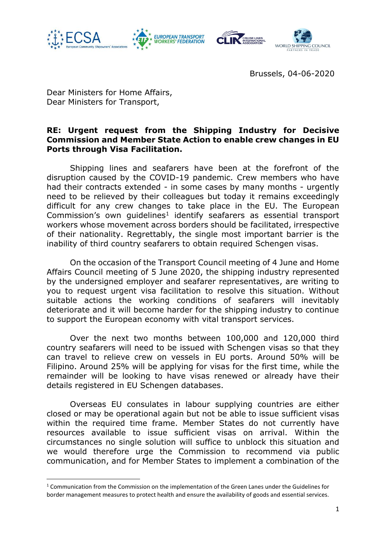

1







Brussels, 04-06-2020

Dear Ministers for Home Affairs, Dear Ministers for Transport,

## **RE: Urgent request from the Shipping Industry for Decisive Commission and Member State Action to enable crew changes in EU Ports through Visa Facilitation.**

Shipping lines and seafarers have been at the forefront of the disruption caused by the COVID-19 pandemic. Crew members who have had their contracts extended - in some cases by many months - urgently need to be relieved by their colleagues but today it remains exceedingly difficult for any crew changes to take place in the EU. The European Commission's own guidelines<sup>1</sup> identify seafarers as essential transport workers whose movement across borders should be facilitated, irrespective of their nationality. Regrettably, the single most important barrier is the inability of third country seafarers to obtain required Schengen visas.

On the occasion of the Transport Council meeting of 4 June and Home Affairs Council meeting of 5 June 2020, the shipping industry represented by the undersigned employer and seafarer representatives, are writing to you to request urgent visa facilitation to resolve this situation. Without suitable actions the working conditions of seafarers will inevitably deteriorate and it will become harder for the shipping industry to continue to support the European economy with vital transport services.

Over the next two months between 100,000 and 120,000 third country seafarers will need to be issued with Schengen visas so that they can travel to relieve crew on vessels in EU ports. Around 50% will be Filipino. Around 25% will be applying for visas for the first time, while the remainder will be looking to have visas renewed or already have their details registered in EU Schengen databases.

Overseas EU consulates in labour supplying countries are either closed or may be operational again but not be able to issue sufficient visas within the required time frame. Member States do not currently have resources available to issue sufficient visas on arrival. Within the circumstances no single solution will suffice to unblock this situation and we would therefore urge the Commission to recommend via public communication, and for Member States to implement a combination of the

 $1$  Communication from the Commission on the implementation of the Green Lanes under the Guidelines for border management measures to protect health and ensure the availability of goods and essential services.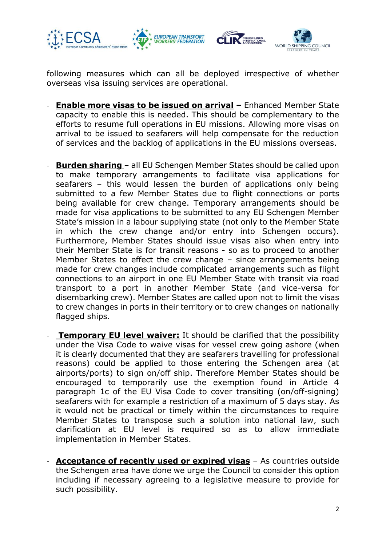

following measures which can all be deployed irrespective of whether overseas visa issuing services are operational.

- *-* **Enable more visas to be issued on arrival –** Enhanced Member State capacity to enable this is needed. This should be complementary to the efforts to resume full operations in EU missions. Allowing more visas on arrival to be issued to seafarers will help compensate for the reduction of services and the backlog of applications in the EU missions overseas.
- **Burden sharing**  all EU Schengen Member States should be called upon to make temporary arrangements to facilitate visa applications for seafarers – this would lessen the burden of applications only being submitted to a few Member States due to flight connections or ports being available for crew change. Temporary arrangements should be made for visa applications to be submitted to any EU Schengen Member State's mission in a labour supplying state (not only to the Member State in which the crew change and/or entry into Schengen occurs). Furthermore, Member States should issue visas also when entry into their Member State is for transit reasons - so as to proceed to another Member States to effect the crew change – since arrangements being made for crew changes include complicated arrangements such as flight connections to an airport in one EU Member State with transit via road transport to a port in another Member State (and vice-versa for disembarking crew). Member States are called upon not to limit the visas to crew changes in ports in their territory or to crew changes on nationally flagged ships.
- **Temporary EU level waiver:** It should be clarified that the possibility under the Visa Code to waive visas for vessel crew going ashore (when it is clearly documented that they are seafarers travelling for professional reasons) could be applied to those entering the Schengen area (at airports/ports) to sign on/off ship. Therefore Member States should be encouraged to temporarily use the exemption found in Article 4 paragraph 1c of the EU Visa Code to cover transiting (on/off-signing) seafarers with for example a restriction of a maximum of 5 days stay. As it would not be practical or timely within the circumstances to require Member States to transpose such a solution into national law, such clarification at EU level is required so as to allow immediate implementation in Member States.
- *-* **Acceptance of recently used or expired visas** As countries outside the Schengen area have done we urge the Council to consider this option including if necessary agreeing to a legislative measure to provide for such possibility.